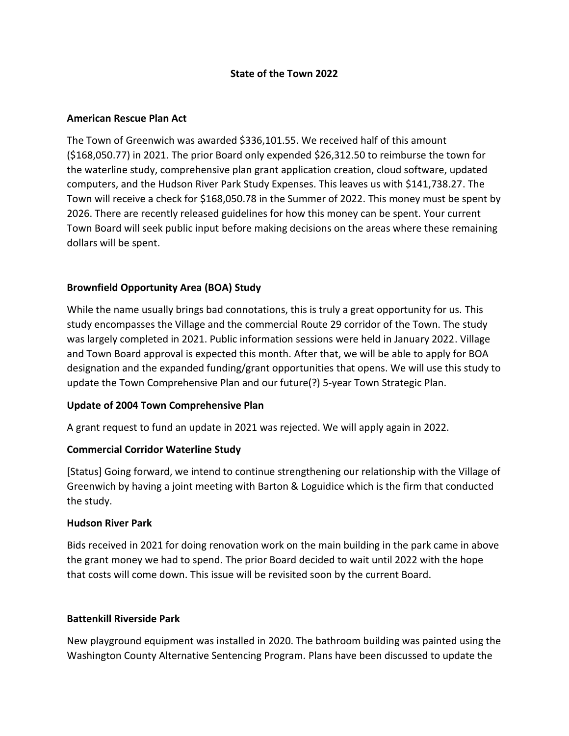### **State of the Town 2022**

### **American Rescue Plan Act**

The Town of Greenwich was awarded \$336,101.55. We received half of this amount (\$168,050.77) in 2021. The prior Board only expended \$26,312.50 to reimburse the town for the waterline study, comprehensive plan grant application creation, cloud software, updated computers, and the Hudson River Park Study Expenses. This leaves us with \$141,738.27. The Town will receive a check for \$168,050.78 in the Summer of 2022. This money must be spent by 2026. There are recently released guidelines for how this money can be spent. Your current Town Board will seek public input before making decisions on the areas where these remaining dollars will be spent.

### **Brownfield Opportunity Area (BOA) Study**

While the name usually brings bad connotations, this is truly a great opportunity for us. This study encompasses the Village and the commercial Route 29 corridor of the Town. The study was largely completed in 2021. Public information sessions were held in January 2022. Village and Town Board approval is expected this month. After that, we will be able to apply for BOA designation and the expanded funding/grant opportunities that opens. We will use this study to update the Town Comprehensive Plan and our future(?) 5-year Town Strategic Plan.

### **Update of 2004 Town Comprehensive Plan**

A grant request to fund an update in 2021 was rejected. We will apply again in 2022.

### **Commercial Corridor Waterline Study**

[Status] Going forward, we intend to continue strengthening our relationship with the Village of Greenwich by having a joint meeting with Barton & Loguidice which is the firm that conducted the study.

### **Hudson River Park**

Bids received in 2021 for doing renovation work on the main building in the park came in above the grant money we had to spend. The prior Board decided to wait until 2022 with the hope that costs will come down. This issue will be revisited soon by the current Board.

### **Battenkill Riverside Park**

New playground equipment was installed in 2020. The bathroom building was painted using the Washington County Alternative Sentencing Program. Plans have been discussed to update the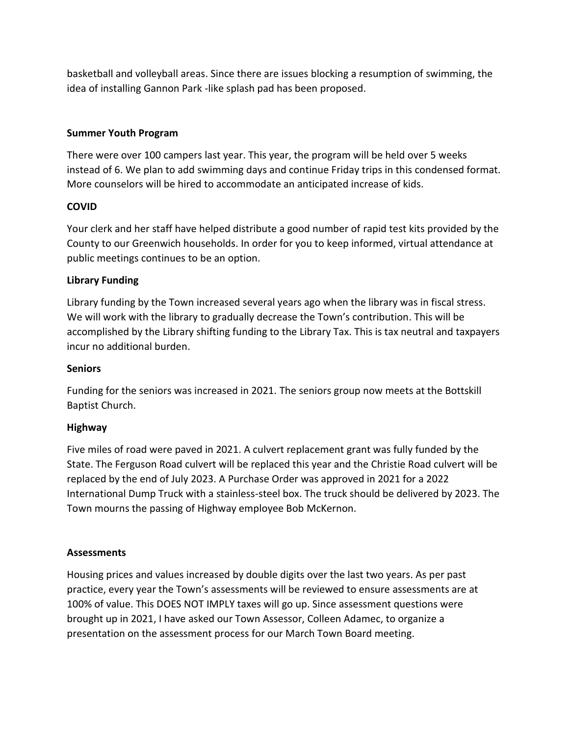basketball and volleyball areas. Since there are issues blocking a resumption of swimming, the idea of installing Gannon Park -like splash pad has been proposed.

## **Summer Youth Program**

There were over 100 campers last year. This year, the program will be held over 5 weeks instead of 6. We plan to add swimming days and continue Friday trips in this condensed format. More counselors will be hired to accommodate an anticipated increase of kids.

# **COVID**

Your clerk and her staff have helped distribute a good number of rapid test kits provided by the County to our Greenwich households. In order for you to keep informed, virtual attendance at public meetings continues to be an option.

# **Library Funding**

Library funding by the Town increased several years ago when the library was in fiscal stress. We will work with the library to gradually decrease the Town's contribution. This will be accomplished by the Library shifting funding to the Library Tax. This is tax neutral and taxpayers incur no additional burden.

## **Seniors**

Funding for the seniors was increased in 2021. The seniors group now meets at the Bottskill Baptist Church.

## **Highway**

Five miles of road were paved in 2021. A culvert replacement grant was fully funded by the State. The Ferguson Road culvert will be replaced this year and the Christie Road culvert will be replaced by the end of July 2023. A Purchase Order was approved in 2021 for a 2022 International Dump Truck with a stainless-steel box. The truck should be delivered by 2023. The Town mourns the passing of Highway employee Bob McKernon.

## **Assessments**

Housing prices and values increased by double digits over the last two years. As per past practice, every year the Town's assessments will be reviewed to ensure assessments are at 100% of value. This DOES NOT IMPLY taxes will go up. Since assessment questions were brought up in 2021, I have asked our Town Assessor, Colleen Adamec, to organize a presentation on the assessment process for our March Town Board meeting.